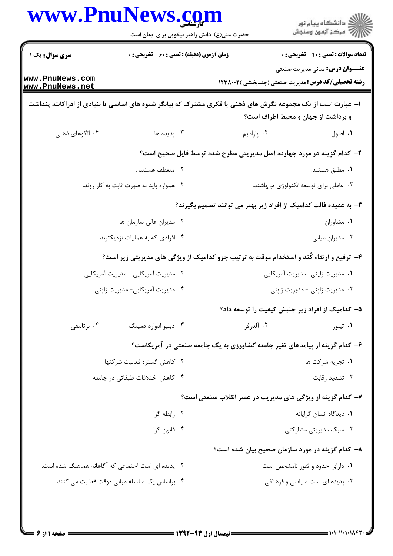|                                                    | <b>www.PnuNews.co</b><br>حضرت علی(ع): دانش راهبر نیکویی برای ایمان است |                                                                                                             | ≦ دانشڪاه پيام نور<br>ج‴ مرڪز آزمون وسنڊش  |
|----------------------------------------------------|------------------------------------------------------------------------|-------------------------------------------------------------------------------------------------------------|--------------------------------------------|
| <b>سری سوال :</b> یک ۱                             | <b>زمان آزمون (دقیقه) : تستی : 60 ٪ تشریحی : 0</b>                     |                                                                                                             | <b>تعداد سوالات : تستی : 40 قشریحی : 0</b> |
| www.PnuNews.com<br>www.PnuNews.net                 |                                                                        | <b>رشته تحصیلی/کد درس:</b> مدیریت صنعتی (چندبخشی )۱۲۳۸۰۰۲                                                   | <b>عنـــوان درس:</b> مبانی مدیریت صنعتی    |
|                                                    |                                                                        | ا– عبارت است از یک مجموعه نگرش های ذهنی یا فکری مشترک که بیانگر شیوه های اساسی یا بنیادی از ادراکات، پنداشت | و برداشت از جهان و محیط اطراف است؟         |
| ۴. الگوهای ذهنی                                    | ۰۳ پدیده ها                                                            | ۰۲ پارادیم                                                                                                  | ۰۱ اصول                                    |
|                                                    |                                                                        | ۲- کدام گزینه در مورد چهارده اصل مدیریتی مطرح شده توسط فایل صحیح است؟                                       |                                            |
|                                                    | ۰۲ منعطف هستند .                                                       |                                                                                                             | ۰۱ مطلق هستند.                             |
|                                                    | ۰۴ همواره باید به صورت ثابت به کار روند.                               |                                                                                                             | ۰۳ عاملی برای توسعه تکنولوژی میباشند.      |
|                                                    |                                                                        | ۳– به عقیده فالت کدامیک از افراد زیر بهتر می توانند تصمیم بگیرند؟                                           |                                            |
|                                                    | ۰۲ مدیران عالی سازمان ها                                               |                                                                                                             | ۰۱ مشاوران                                 |
| ۰۴ افرادی که به عملیات نزدیکترند                   |                                                                        |                                                                                                             | ۰۳ مدیران میانی                            |
|                                                    |                                                                        | ۴- ترفیع و ارتقاء کُند و استخدام موقت به ترتیب جزو کدامیک از ویژگی های مدیریتی زیر است؟                     |                                            |
|                                                    | ۰۲ مدیریت آمریکایی - مدیریت آمریکایی                                   |                                                                                                             | ۰۱ مدیریت ژاپنی- مدیریت آمریکایی           |
|                                                    | ۰۴ مدیریت آمریکایی- مدیریت ژاپنی                                       |                                                                                                             | ۰۳ مدیریت ژاپنی - مدیریت ژاپنی             |
|                                                    |                                                                        | ۵– کدامیک از افراد زیر جنبش کیفیت را توسعه داد؟                                                             |                                            |
| ۰۴ برتالنفی                                        | ۰۳ دبليو ادوارد دمينگ                                                  | ۰۲ آلدرفر                                                                                                   | ۰۱ تیلور                                   |
|                                                    |                                                                        | ۶– کدام گزینه از پیامدهای تغیر جامعه کشاورزی به یک جامعه صنعتی در آمریکاست؟                                 |                                            |
|                                                    | ۰۲ کاهش گستره فعالیت شرکتها                                            |                                                                                                             | ۰۱ تجزیه شرکت ها                           |
|                                                    | ۰۴ كاهش اختلافات طبقاتي در جامعه                                       |                                                                                                             | ۰۳ تشدید رقابت                             |
|                                                    |                                                                        | ۷– کدام گزینه از ویژگی های مدیریت در عصر انقلاب صنعتی است؟                                                  |                                            |
| ۰۲ رابطه گرا                                       |                                                                        |                                                                                                             | ٠١ ديدگاه انسان گرايانه                    |
|                                                    | ۰۴ قانون گرا                                                           |                                                                                                             | ۰۳ سبک مدیریتی مشارکتی                     |
|                                                    |                                                                        | ۸– کدام گزینه در مورد سازمان صحیح بیان شده است؟                                                             |                                            |
| ۲. پدیده ای است اجتماعی که آگاهانه هماهنگ شده است. |                                                                        |                                                                                                             | ۰۱ دارای حدود و ثقور نامشخص است.           |
|                                                    | ۰۴ براساس یک سلسله مبانی موقت فعالیت می کنند.                          |                                                                                                             | ۰۳ پدیده ای است سیاسی و فرهنگی             |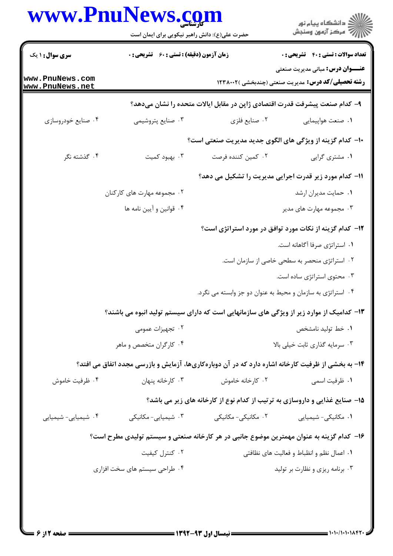|                                    | www.PnuNews.com<br>حضرت علی(ع): دانش راهبر نیکویی برای ایمان است |                                                             | ڪ دانشڪاه پيا <sub>م</sub> نور<br>∕ <sup>7</sup> مرڪز آزمون وسنڊش                                    |  |  |
|------------------------------------|------------------------------------------------------------------|-------------------------------------------------------------|------------------------------------------------------------------------------------------------------|--|--|
| <b>سری سوال : ۱ یک</b>             | <b>زمان آزمون (دقیقه) : تستی : 60 ٪ تشریحی : 0</b>               |                                                             | <b>تعداد سوالات : تستي : 40 - تشريحي : 0</b>                                                         |  |  |
| www.PnuNews.com<br>www.PnuNews.net |                                                                  |                                                             | <b>عنـــوان درس:</b> مبانی مدیریت صنعتی<br><b>رشته تحصیلی/کد درس:</b> مدیریت صنعتی (چندبخشی )۱۲۳۸۰۰۲ |  |  |
|                                    |                                                                  |                                                             | ۹– کدام صنعت پیشرفت قدرت اقتصادی ژاپن در مقابل ایالات متحده را نشان میدهد؟                           |  |  |
| ۰۴ صنایع خودروسازی                 | ۰۳ صنایع پتروشیمی                                                | ۰۲ صنايع فلزي                                               | ٠١ صنعت هواپيمايي                                                                                    |  |  |
|                                    |                                                                  |                                                             | <b>۱۰</b> - کدام گزینه از ویژگی های الگوی جدید مدیریت صنعتی است؟                                     |  |  |
| ۴. گذشته نگر                       | ۰۳ بهبود کمیت                                                    | ۰۲ کمین کننده فرصت                                          | ۰۱ مشتری گرایی                                                                                       |  |  |
|                                    |                                                                  |                                                             | 11- کدام مورد زیر قدرت اجرایی مدیریت را تشکیل می دهد؟                                                |  |  |
|                                    | ۰۲ مجموعه مهارت های کارکنان                                      |                                                             | ٠١ حمايت مديران ارشد                                                                                 |  |  |
|                                    | ۰۴ قوانين و آيين نامه ها                                         |                                                             | ۰۳ مجموعه مهارت های مدیر                                                                             |  |  |
|                                    |                                                                  |                                                             | ۱۲– کدام گزینه از نکات مورد توافق در مورد استراتژی است؟                                              |  |  |
|                                    |                                                                  |                                                             | ۰۱ استراتژی صرفا آگاهانه است.                                                                        |  |  |
|                                    |                                                                  |                                                             | ۰۲ استراتژی منحصر به سطحی خاصی از سازمان است.                                                        |  |  |
|                                    |                                                                  |                                                             | ۰۳ محتوی استراتژی ساده است.                                                                          |  |  |
|                                    |                                                                  | ۰۴ استراتژی به سازمان و محیط به عنوان دو جز وابسته می نگرد. |                                                                                                      |  |  |
|                                    |                                                                  |                                                             | ۱۳- کدامیک از موارد زیر از ویژگی های سازمانهایی است که دارای سیستم تولید انبوه می باشند؟             |  |  |
|                                    | ۰۲ تجهیزات عمومی                                                 |                                                             | ۰۱ خط تولید نامشخص                                                                                   |  |  |
|                                    | ۰۴ کارگران متخصص و ماهر                                          |                                                             | ۰۳ سرمایه گذاری ثابت خیلی بالا                                                                       |  |  |
|                                    |                                                                  |                                                             | ۱۴- به بخشی از ظرفیت کارخانه اشاره دارد که در آن دوبارهکاریها، آزمایش و بازرسی مجدد اتفاق می افتد؟   |  |  |
| ۰۴ ظرفیت خاموش                     | ۰۳ کارخانه پنهان                                                 | ۰۲ کارخانه خاموش                                            | ۰۱ ظرفیت اسمی                                                                                        |  |  |
|                                    |                                                                  |                                                             | ۱۵- صنایع غذایی و داروسازی به ترتیب از کدام نوع از کارخانه های زیر می باشد؟                          |  |  |
| ۰۴ شیمیایی- شیمیایی                | ۰۳ شیمیایی- مکانیکی                                              | ۰۲ مکانیکی- مکانیکی                                         | ۰۱ مکانیکی- شیمیایی                                                                                  |  |  |
|                                    |                                                                  |                                                             | ۱۶– کدام گزینه به عنوان مهمترین موضوع جانبی در هر کارخانه صنعتی و سیستم تولیدی مطرح است؟             |  |  |
|                                    | ۰۲ کنترل کیفیت                                                   |                                                             | ٠١ اعمال نظم و انظباط و فعاليت هاي نظافتي                                                            |  |  |
|                                    | ۰۴ طراحی سیستم های سخت افزاری                                    |                                                             | ۰۳ برنامه ریزی و نظارت بر تولید                                                                      |  |  |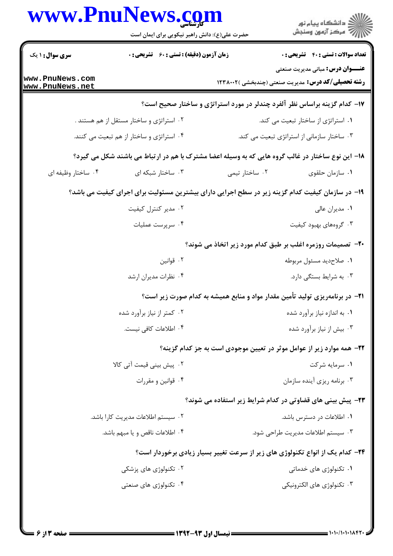|                                    | www.PnuNews.com<br>حضرت علی(ع): دانش راهبر نیکویی برای ایمان است                                  |                                                                                      | ڪ دانشڪاه پيام نور<br>ر∕ = مرڪز آزمون وسنڊش                                                          |
|------------------------------------|---------------------------------------------------------------------------------------------------|--------------------------------------------------------------------------------------|------------------------------------------------------------------------------------------------------|
| <b>سری سوال : ۱ یک</b>             | <b>زمان آزمون (دقیقه) : تستی : 60 ٪ تشریحی : 0</b>                                                |                                                                                      | <b>تعداد سوالات : تستی : 40 - تشریحی : 0</b>                                                         |
| www.PnuNews.com<br>www.PnuNews.net |                                                                                                   |                                                                                      | <b>عنـــوان درس:</b> مبانی مدیریت صنعتی<br><b>رشته تحصیلی/کد درس:</b> مدیریت صنعتی (چندبخشی )۱۲۳۸۰۰۲ |
|                                    |                                                                                                   | ۱۷- کدام گزینه براساس نظر آلفرد چندلر در مورد استراتژی و ساختار صحیح است؟            |                                                                                                      |
|                                    | ۰۲ استراتژی و ساختار مستقل از هم هستند .                                                          |                                                                                      | ۰۱ استراتژی از ساختار تبعیت می کند.                                                                  |
|                                    | ۰۴ استراتژی و ساختار از هم تبعیت می کنند.                                                         |                                                                                      | ۰۳ ساختار سازمانی از استراتژی تبعیت می کند.                                                          |
|                                    | ۱۸– این نوع ساختار در غالب گروه هایی که به وسیله اعضا مشترک با هم در ارتباط می باشند شکل می گیرد؟ |                                                                                      |                                                                                                      |
| ۰۴ ساختار وظیفه ای                 | ۰۳ ساختار شبکه ای                                                                                 | ۰۲ ساختار تیمی                                                                       | ٠١. سازمان حلقوى                                                                                     |
|                                    | ۱۹– در سازمان کیفیت کدام گزینه زیر در سطح اجرایی دارای بیشترین مسئولیت برای اجرای کیفیت می باشد؟  |                                                                                      |                                                                                                      |
|                                    | ۰۲ مدیر کنترل کیفیت                                                                               |                                                                                      | ۰۱ مدیران عالی                                                                                       |
|                                    | ۰۴ سرپرست عملیات                                                                                  |                                                                                      | ۰۳ گروههای بهبود کیفیت                                                                               |
|                                    |                                                                                                   | <b>۰۲-</b> تصمیمات روزمره اغلب بر طبق کدام مورد زیر اتخاذ می شوند؟                   |                                                                                                      |
|                                    | ۰۲ قوانين                                                                                         |                                                                                      | ٠١ صلاحديد مسئول مربوطه                                                                              |
|                                    | ۰۴ نظرات مدیران ارشد                                                                              |                                                                                      | ۰۳ به شرایط بستگی دارد.                                                                              |
|                                    |                                                                                                   | <b>۲۱</b> - در برنامهریزی تولید تأمین مقدار مواد و منابع همیشه به کدام صورت زیر است؟ |                                                                                                      |
|                                    | ۰۲ کمتر از نیاز برآورد شده                                                                        |                                                                                      | ۰۱ به اندازه نیاز برآورد شده                                                                         |
|                                    | ۰۴ اطلاعات كافي نيست.                                                                             |                                                                                      | ۰۳ بیش از نیاز برآورد شده                                                                            |
|                                    |                                                                                                   | ۲۲- همه موارد زیر از عوامل موثر در تعیین موجودی است به جز کدام گزینه؟                |                                                                                                      |
|                                    | ۰۲ پیش بینی قیمت آتی کالا                                                                         |                                                                                      | ۰۱ سرمایه شرکت                                                                                       |
|                                    | ۰۴ قوانین و مقررات                                                                                |                                                                                      | ۰۳ برنامه ریزی آینده سازمان                                                                          |
|                                    |                                                                                                   | <b>۲۳</b> - پیش بینی های قضاوتی در کدام شرایط زیر استفاده می شوند؟                   |                                                                                                      |
|                                    | ٢. سيستم اطلاعات مديريت كارا باشد.                                                                |                                                                                      | ۰۱ اطلاعات در دسترس باشد.                                                                            |
|                                    | ۰۴ اطلاعات ناقص و یا مبهم باشد.                                                                   |                                                                                      | ۰۳ سیستم اطلاعات مدیریت طراحی شود.                                                                   |
|                                    |                                                                                                   | ۲۴- کدام یک از انواع تکنولوژی های زیر از سرعت تغییر بسیار زیادی برخوردار است؟        |                                                                                                      |
|                                    | ۰۲ تکنولوژی های پزشک <i>ی</i>                                                                     |                                                                                      | ۰۱ تکنولوژی های خدماتی                                                                               |
|                                    | ۰۴ تکنولوژی های صنعتی                                                                             |                                                                                      | ۰۳ تکنولوژی های الکترونیکی                                                                           |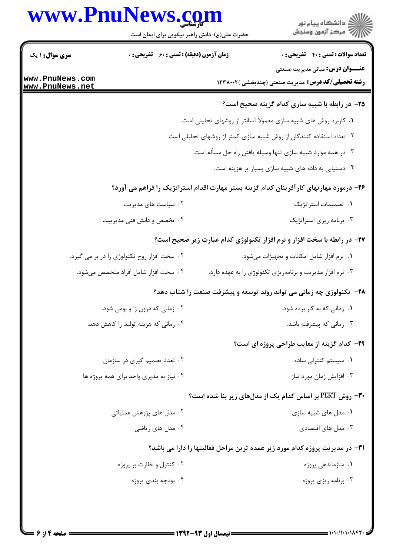## www.PnuNews.com

|                                    | www.PnuNews.com<br>حضرت علی(ع): دانش راهبر نیکویی برای ایمان است | ڪ دانشڪاه پيام نور<br><mark>ر</mark> ⊽ مرڪز آزمون وسنڊش                                              |
|------------------------------------|------------------------------------------------------------------|------------------------------------------------------------------------------------------------------|
| <b>سری سوال : ۱ یک</b>             | <b>زمان آزمون (دقیقه) : تستی : 60 ٪ تشریحی : 0</b>               | <b>تعداد سوالات : تستي : 40 - تشريحي : 0</b>                                                         |
| www.PnuNews.com<br>www.PnuNews.net |                                                                  | <b>عنـــوان درس:</b> مبانی مدیریت صنعتی<br><b>رشته تحصیلی/کد درس:</b> مدیریت صنعتی (چندبخشی )۱۲۳۸۰۰۲ |
|                                    |                                                                  | ۲۵– در رابطه با شبیه سازی کدام گزینه صحیح است؟                                                       |
|                                    |                                                                  | ۰۱ کاربرد روش های شبیه سازی معمولاً آسانتر از روشهای تحلیلی است.                                     |
|                                    |                                                                  | ۰۲ تعداد استفاده کنندگان از روش شبیه سازی کمتر از روشهای تحلیلی است.                                 |
|                                    |                                                                  | ۰۳ در همه موارد شبیه سازی تنها وسیله یافتن راه حل مسأله است.                                         |
|                                    |                                                                  | ۰۴ دستیابی به داده های شبیه سازی بسیار پر هزینه است.                                                 |
|                                    |                                                                  | ۲۶– درمورد مهارتهای کارآفرینان کدام گزینه بستر مهارت اقدام استراتژیک را فراهم می آورد؟               |
|                                    | ۰۲ سیاست های مدیریت                                              | ۰۱ تصمیمات استراتژیک                                                                                 |
|                                    | ۰۴ تخصص و دانش فنی مدیرییت                                       | ۰۳ برنامه ریزی استراتژیک                                                                             |
|                                    |                                                                  | 37- در رابطه با سخت افزار و نرم افزار تکنولوژی کدام عبارت زیر صحیح است؟                              |
|                                    | ۰۲ سخت افزار روح تکنولوژی را در بر می گیرد.                      | ۰۱ نرم افزار شامل امکانات و تجهیزات میشود.                                                           |
|                                    | ۰۴ سخت افزار شامل افراد متخصص میشود.                             | ۰۳ نرم افزار مدیریت و برنامهریزی تکنولوژی را به عهده دارد.                                           |
|                                    |                                                                  | ۲۸- تکنولوژی چه زمانی می تواند روند توسعه و پیشرفت صنعت را شتاب دهد؟                                 |
|                                    | ۰۲ زمانی که درون زا و بومی شود.                                  | <b>۱.</b> زمانی که به کار برده شود.                                                                  |
|                                    | ۰۴ زمانی که هزینه تولید را کاهش دهد.                             | ۰۳ زمانی که پیشرفته باشد.                                                                            |
|                                    |                                                                  | <b>۲۹</b> - کدام گزینه از معایب طراحی پروژه ای است؟                                                  |
|                                    | ۰۲ تعدد تصمیم گیری در سازمان                                     | ٠١ سيستم كنترلى ساده                                                                                 |
|                                    | ۰۴ نیاز به مدیری واحد برای همه پروژه ها                          | ۰۳ افزايش زمان مورد نياز                                                                             |
|                                    |                                                                  | <b>۳۰-</b> روش PERT بر اساس کدام یک از مدلهای زیر بنا شده است؟                                       |
|                                    | ۰۲ مدل های پژوهش عملیاتی                                         | ۰۱ مدل های شبیه سازی                                                                                 |
|                                    | ۰۴ مدل های ریاضی                                                 | ۰۳ مدل های اقتصادی                                                                                   |
|                                    |                                                                  | <b>۳۱</b> - در مدیریت پروژه کدام مورد زیر عمده ترین مراحل فعالیتها را دارا می باشد؟                  |
|                                    | ۰۲ کنترل و نظارت بر پروژه                                        | ۰۱ سازماندهی پروژه                                                                                   |
|                                    | ۰۴ بودجه بندی پروژه                                              | ۰۳ برنامه ریزی پروژه                                                                                 |
|                                    |                                                                  |                                                                                                      |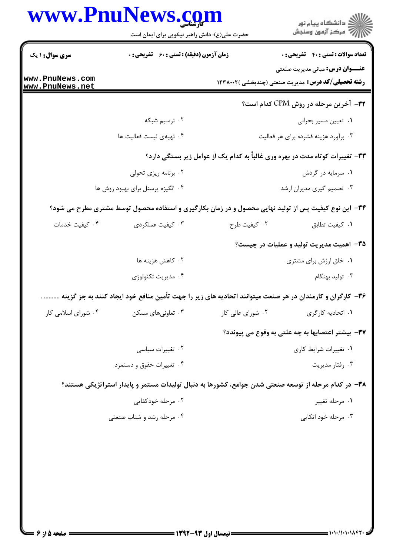|                                    | www.PnuNews.com<br>حضرت علی(ع): دانش راهبر نیکویی برای ایمان است                                         |                   | ِ<br>∭ دانشڪاه پيام نور<br>∭ مرڪز آزمون وسنڊش                                                        |
|------------------------------------|----------------------------------------------------------------------------------------------------------|-------------------|------------------------------------------------------------------------------------------------------|
| <b>سری سوال : ۱ یک</b>             | <b>زمان آزمون (دقیقه) : تستی : 60 ٪ تشریحی : 0</b>                                                       |                   | <b>تعداد سوالات : تستي : 40 ٪ تشريحي : 0</b>                                                         |
| www.PnuNews.com<br>www.PnuNews.net |                                                                                                          |                   | <b>عنـــوان درس:</b> مبانی مدیریت صنعتی<br><b>رشته تحصیلی/کد درس:</b> مدیریت صنعتی (چندبخشی )۱۲۳۸۰۰۲ |
|                                    |                                                                                                          |                   | <b>۳۲</b> – آخرین مرحله در روش CPM کدام است؟                                                         |
|                                    | ۰۲ ترسیم شبکه                                                                                            |                   | ۰۱ تعیین مسیر بحرانی                                                                                 |
|                                    | ۰۴ تهیهی لیست فعالیت ها                                                                                  |                   | ۰۳ برآورد هزینه فشرده برای هر فعالیت                                                                 |
|                                    |                                                                                                          |                   | ۳۳- تغییرات کوتاه مدت در بهره وری غالباً به کدام یک از عوامل زیر بستگی دارد؟                         |
|                                    | ۰۲ برنامه ریزی تحولی                                                                                     |                   | ۰۱ سرمایه در گردش                                                                                    |
|                                    | ۰۴ انگیزه پرسنل برای بهبود روش ها                                                                        |                   | ۰۳ تصمیم گیری مدیران ارشد                                                                            |
|                                    | ۳۴- این نوع کیفیت پس از تولید نهایی محصول و در زمان بکارگیری و استفاده محصول توسط مشتری مطرح می شود؟     |                   |                                                                                                      |
| ۰۴ کیفیت خدمات                     | ۰۳ کیفیت عملکردی                                                                                         | ٠٢ كيفيت طرح      | ٠١ كيفيت تطابق                                                                                       |
|                                    |                                                                                                          |                   | ۳۵- اهمیت مدیریت تولید و عملیات در چیست؟                                                             |
|                                    | ۰۲ کاهش هزینه ها                                                                                         |                   | ۰۱ خلق ارزش برای مشتری                                                                               |
|                                    | ۰۴ مديريت تكنولوژي                                                                                       |                   | ۰۳ تولید بهنگام                                                                                      |
|                                    | ۳۶- کارگران و کارمندان در هر صنعت میتوانند اتحادیه های زیر را جهت تأمین منافع خود ایجاد کنند به جز گزینه |                   |                                                                                                      |
| ۰۴ شورای اسلامی کار                | ۰۳ تعاونیهای مسکن                                                                                        | ۰۲ شورای عالی کار | ۰۱ اتحادیه کارگری                                                                                    |
|                                    |                                                                                                          |                   | ٣٧- بيشتر اعتصابها به چه علتي به وقوع مي پيوندد؟                                                     |
|                                    | ۰۲ تغییرات سیاسی                                                                                         |                   | ۰۱ تغییرات شرایط کاری                                                                                |
|                                    | ۰۴ تغییرات حقوق و دستمزد                                                                                 |                   | ۰۳ رفتار مديريت                                                                                      |
|                                    | ۳۸– در کدام مرحله از توسعه صنعتی شدن جوامع، کشورها به دنبال تولیدات مستمر و پایدار استراتژیکی هستند؟     |                   |                                                                                                      |
|                                    | ۰۲ مرحله خودکفایی                                                                                        |                   | ۰۱ مرحله تغییر                                                                                       |
|                                    | ۰۴ مرحله رشد و شتاب صنعتی                                                                                |                   | ۰۳ مرحله خود اتکایی                                                                                  |